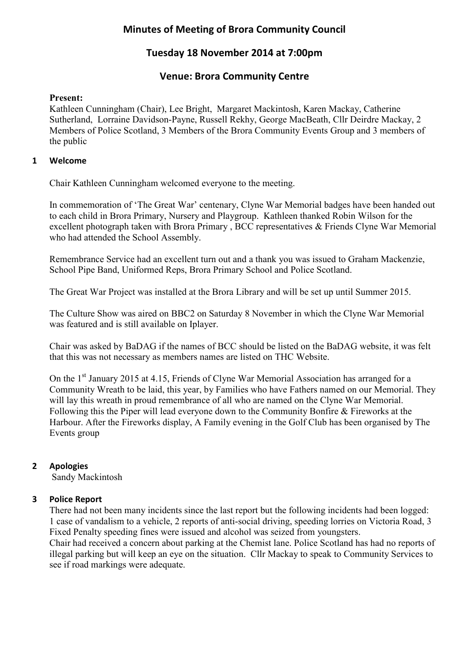# **Minutes of Meeting of Brora Community Council**

# **Tuesday 18 November 2014 at 7:00pm**

## **Venue: Brora Community Centre**

### **Present:**

Kathleen Cunningham (Chair), Lee Bright, Margaret Mackintosh, Karen Mackay, Catherine Sutherland, Lorraine Davidson-Payne, Russell Rekhy, George MacBeath, Cllr Deirdre Mackay, 2 Members of Police Scotland, 3 Members of the Brora Community Events Group and 3 members of the public

### **1 Welcome**

Chair Kathleen Cunningham welcomed everyone to the meeting.

In commemoration of 'The Great War' centenary, Clyne War Memorial badges have been handed out to each child in Brora Primary, Nursery and Playgroup. Kathleen thanked Robin Wilson for the excellent photograph taken with Brora Primary , BCC representatives & Friends Clyne War Memorial who had attended the School Assembly.

Remembrance Service had an excellent turn out and a thank you was issued to Graham Mackenzie, School Pipe Band, Uniformed Reps, Brora Primary School and Police Scotland.

The Great War Project was installed at the Brora Library and will be set up until Summer 2015.

The Culture Show was aired on BBC2 on Saturday 8 November in which the Clyne War Memorial was featured and is still available on Iplayer.

Chair was asked by BaDAG if the names of BCC should be listed on the BaDAG website, it was felt that this was not necessary as members names are listed on THC Website.

On the 1<sup>st</sup> January 2015 at 4.15, Friends of Clyne War Memorial Association has arranged for a Community Wreath to be laid, this year, by Families who have Fathers named on our Memorial. They will lay this wreath in proud remembrance of all who are named on the Clyne War Memorial. Following this the Piper will lead everyone down to the Community Bonfire & Fireworks at the Harbour. After the Fireworks display, A Family evening in the Golf Club has been organised by The Events group

## **2 Apologies**

Sandy Mackintosh

#### **3 Police Report**

There had not been many incidents since the last report but the following incidents had been logged: 1 case of vandalism to a vehicle, 2 reports of anti-social driving, speeding lorries on Victoria Road, 3 Fixed Penalty speeding fines were issued and alcohol was seized from youngsters.

Chair had received a concern about parking at the Chemist lane. Police Scotland has had no reports of illegal parking but will keep an eye on the situation. Cllr Mackay to speak to Community Services to see if road markings were adequate.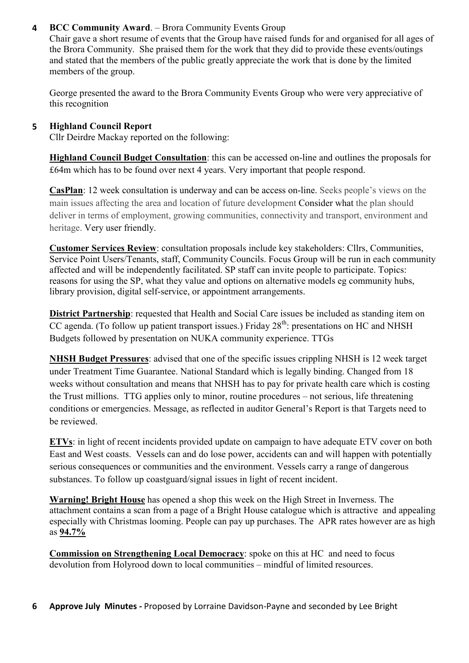### **4 BCC Community Award**. – Brora Community Events Group

Chair gave a short resume of events that the Group have raised funds for and organised for all ages of the Brora Community. She praised them for the work that they did to provide these events/outings and stated that the members of the public greatly appreciate the work that is done by the limited members of the group.

George presented the award to the Brora Community Events Group who were very appreciative of this recognition

### **5 Highland Council Report**

Cllr Deirdre Mackay reported on the following:

**Highland Council Budget Consultation**: this can be accessed on-line and outlines the proposals for £64m which has to be found over next 4 years. Very important that people respond.

**CasPlan**: 12 week consultation is underway and can be access on-line. Seeks people's views on the main issues affecting the area and location of future development Consider what the plan should deliver in terms of employment, growing communities, connectivity and transport, environment and heritage. Very user friendly.

**Customer Services Review**: consultation proposals include key stakeholders: Cllrs, Communities, Service Point Users/Tenants, staff, Community Councils. Focus Group will be run in each community affected and will be independently facilitated. SP staff can invite people to participate. Topics: reasons for using the SP, what they value and options on alternative models eg community hubs, library provision, digital self-service, or appointment arrangements.

**District Partnership**: requested that Health and Social Care issues be included as standing item on  $\overline{CC}$  agenda. (To follow up patient transport issues.) Friday 28<sup>th</sup>: presentations on HC and NHSH Budgets followed by presentation on NUKA community experience. TTGs

**NHSH Budget Pressures**: advised that one of the specific issues crippling NHSH is 12 week target under Treatment Time Guarantee. National Standard which is legally binding. Changed from 18 weeks without consultation and means that NHSH has to pay for private health care which is costing the Trust millions. TTG applies only to minor, routine procedures – not serious, life threatening conditions or emergencies. Message, as reflected in auditor General's Report is that Targets need to be reviewed.

**ETVs**: in light of recent incidents provided update on campaign to have adequate ETV cover on both East and West coasts. Vessels can and do lose power, accidents can and will happen with potentially serious consequences or communities and the environment. Vessels carry a range of dangerous substances. To follow up coastguard/signal issues in light of recent incident.

**Warning! Bright House** has opened a shop this week on the High Street in Inverness. The attachment contains a scan from a page of a Bright House catalogue which is attractive and appealing especially with Christmas looming. People can pay up purchases. The APR rates however are as high as **94.7%**

**Commission on Strengthening Local Democracy**: spoke on this at HC and need to focus devolution from Holyrood down to local communities – mindful of limited resources.

**6 Approve July Minutes -** Proposed by Lorraine Davidson-Payne and seconded by Lee Bright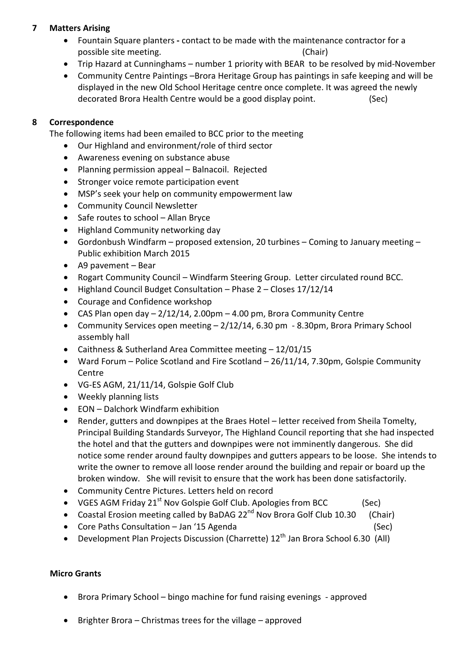## **7 Matters Arising**

- Fountain Square planterscontact to be made with the maintenance contractor for a possible site meeting. The same state of the state (Chair) and the state of the state of the state of the state of the state of the state of the state of the state of the state of the state of the state of the state of the
- Trip Hazard at Cunninghams number 1 priority with BEAR to be resolved by mid-November
- Community Centre Paintings –Brora Heritage Group has paintings in safe keeping and will be displayed in the new Old School Heritage centre once complete. It was agreed the newly decorated Brora Health Centre would be a good display point. (Sec)

### **8 Correspondence**

The following items had been emailed to BCC prior to the meeting

- Our Highland and environment/role of third sector
- Awareness evening on substance abuse
- Planning permission appeal Balnacoil. Rejected
- Stronger voice remote participation event
- MSP's seek your help on community empowerment law
- Community Council Newsletter
- Safe routes to school Allan Bryce
- Highland Community networking day
- Gordonbush Windfarm proposed extension, 20 turbines Coming to January meeting Public exhibition March 2015
- A9 pavement Bear
- Rogart Community Council Windfarm Steering Group. Letter circulated round BCC.
- Highland Council Budget Consultation Phase 2 Closes 17/12/14
- Courage and Confidence workshop
- CAS Plan open day  $-2/12/14$ , 2.00pm  $-4.00$  pm, Brora Community Centre
- Community Services open meeting 2/12/14, 6.30 pm 8.30pm, Brora Primary School assembly hall
- Caithness & Sutherland Area Committee meeting 12/01/15
- Ward Forum Police Scotland and Fire Scotland 26/11/14, 7.30pm, Golspie Community Centre
- VG-ES AGM, 21/11/14, Golspie Golf Club
- Weekly planning lists
- EON Dalchork Windfarm exhibition
- Render, gutters and downpipes at the Braes Hotel letter received from Sheila Tomelty, Principal Building Standards Surveyor, The Highland Council reporting that she had inspected the hotel and that the gutters and downpipes were not imminently dangerous. She did notice some render around faulty downpipes and gutters appears to be loose. She intends to write the owner to remove all loose render around the building and repair or board up the broken window. She will revisit to ensure that the work has been done satisfactorily.
- Community Centre Pictures. Letters held on record
- VGES AGM Friday  $21^{st}$  Nov Golspie Golf Club. Apologies from BCC (Sec)
- Coastal Erosion meeting called by BaDAG  $22^{nd}$  Nov Brora Golf Club 10.30 (Chair)
- Core Paths Consultation Jan '15 Agenda (Sec)
- Development Plan Projects Discussion (Charrette)  $12<sup>th</sup>$  Jan Brora School 6.30 (All)

#### **Micro Grants**

- Brora Primary School bingo machine for fund raising evenings approved
- Brighter Brora Christmas trees for the village approved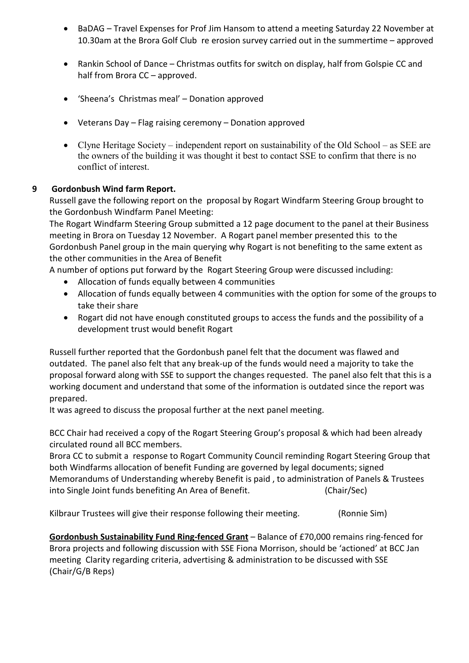- BaDAG Travel Expenses for Prof Jim Hansom to attend a meeting Saturday 22 November at 10.30am at the Brora Golf Club re erosion survey carried out in the summertime – approved
- Rankin School of Dance Christmas outfits for switch on display, half from Golspie CC and half from Brora CC – approved.
- 'Sheena's Christmas meal' Donation approved
- Veterans Day Flag raising ceremony Donation approved
- Clyne Heritage Society independent report on sustainability of the Old School as SEE are the owners of the building it was thought it best to contact SSE to confirm that there is no conflict of interest.

#### **9 Gordonbush Wind farm Report.**

Russell gave the following report on the proposal by Rogart Windfarm Steering Group brought to the Gordonbush Windfarm Panel Meeting:

The Rogart Windfarm Steering Group submitted a 12 page document to the panel at their Business meeting in Brora on Tuesday 12 November. A Rogart panel member presented this to the Gordonbush Panel group in the main querying why Rogart is not benefiting to the same extent as the other communities in the Area of Benefit

A number of options put forward by the Rogart Steering Group were discussed including:

- Allocation of funds equally between 4 communities
- Allocation of funds equally between 4 communities with the option for some of the groups to take their share
- Rogart did not have enough constituted groups to access the funds and the possibility of a development trust would benefit Rogart

Russell further reported that the Gordonbush panel felt that the document was flawed and outdated. The panel also felt that any break-up of the funds would need a majority to take the proposal forward along with SSE to support the changes requested. The panel also felt that this is a working document and understand that some of the information is outdated since the report was prepared.

It was agreed to discuss the proposal further at the next panel meeting.

BCC Chair had received a copy of the Rogart Steering Group's proposal & which had been already circulated round all BCC members.

Brora CC to submit a response to Rogart Community Council reminding Rogart Steering Group that both Windfarms allocation of benefit Funding are governed by legal documents; signed Memorandums of Understanding whereby Benefit is paid , to administration of Panels & Trustees into Single Joint funds benefiting An Area of Benefit. (Chair/Sec)

Kilbraur Trustees will give their response following their meeting. (Ronnie Sim)

**Gordonbush Sustainability Fund Ring-fenced Grant** – Balance of £70,000 remains ring-fenced for Brora projects and following discussion with SSE Fiona Morrison, should be 'actioned' at BCC Jan meeting Clarity regarding criteria, advertising & administration to be discussed with SSE (Chair/G/B Reps)